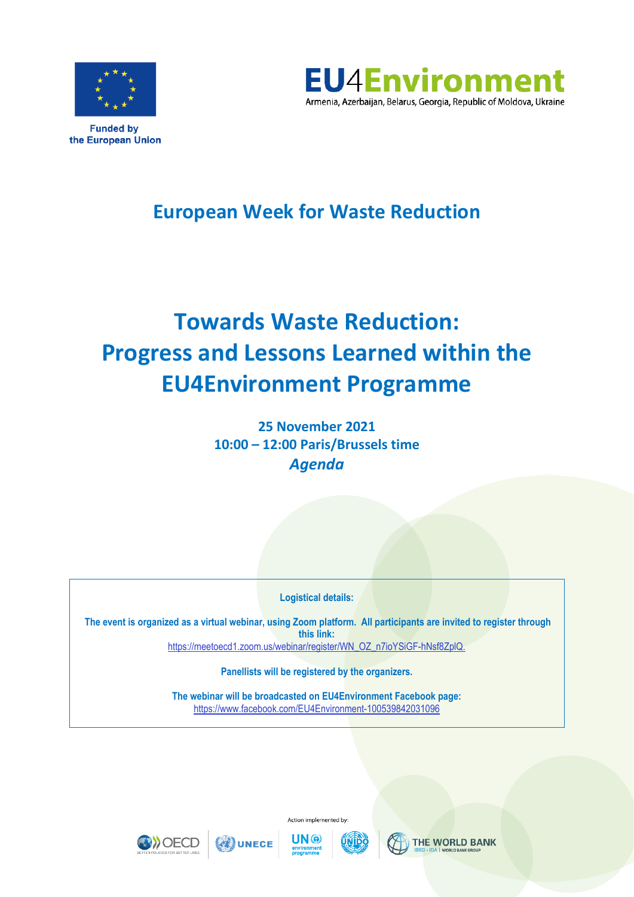

the European Union



# **European Week for Waste Reduction**

# **Towards Waste Reduction: Progress and Lessons Learned within the EU4Environment Programme**

**25 November 2021 10:00 – 12:00 Paris/Brussels time** *Agenda* 

**Logistical details:** 

**The event is organized as a virtual webinar, using Zoom platform. All participants are invited to register through this link:** [https://meetoecd1.zoom.us/webinar/register/WN\\_OZ\\_n7ioYSiGF-hNsf8ZplQ.](https://meetoecd1.zoom.us/webinar/register/WN_OZ_n7ioYSiGF-hNsf8ZplQ)

**Panellists will be registered by the organizers.**

**The webinar will be broadcasted on EU4Environment Facebook page:**  <https://www.facebook.com/EU4Environment-100539842031096>







**ON UNECE** 





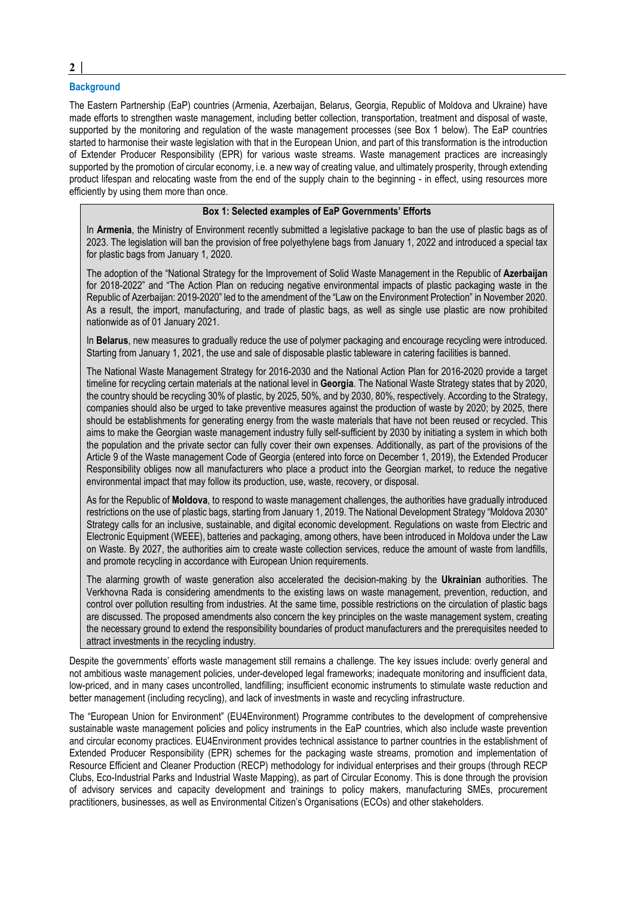# **Background**

The Eastern Partnership (EaP) countries (Armenia, Azerbaijan, Belarus, Georgia, Republic of Moldova and Ukraine) have made efforts to strengthen waste management, including better collection, transportation, treatment and disposal of waste, supported by the monitoring and regulation of the waste management processes (see Box 1 below). The EaP countries started to harmonise their waste legislation with that in the European Union, and part of this transformation is the introduction of Extender Producer Responsibility (EPR) for various waste streams. Waste management practices are increasingly supported by the promotion of circular economy, i.e. a new way of creating value, and ultimately prosperity, through extending product lifespan and relocating waste from the end of the supply chain to the beginning - in effect, using resources more efficiently by using them more than once.

# **Box 1: Selected examples of EaP Governments' Efforts**

In **Armenia**, the Ministry of Environment recently submitted a legislative package to ban the use of plastic bags as of 2023. The legislation will ban the provision of free polyethylene bags from January 1, 2022 and introduced a special tax for plastic bags from January 1, 2020.

The adoption of the "National Strategy for the Improvement of Solid Waste Management in the Republic of **Azerbaijan** for 2018-2022" and "The Action Plan on reducing negative environmental impacts of plastic packaging waste in the Republic of Azerbaijan: 2019-2020" led to the amendment of the "Law on the Environment Protection" in November 2020. As a result, the import, manufacturing, and trade of plastic bags, as well as single use plastic are now prohibited nationwide as of 01 January 2021.

In **Belarus**, new measures to gradually reduce the use of polymer packaging and encourage recycling were introduced. Starting from January 1, 2021, the use and sale of disposable plastic tableware in catering facilities is banned.

The National Waste Management Strategy for 2016-2030 and the National Action Plan for 2016-2020 provide a target timeline for recycling certain materials at the national level in **Georgia**. The National Waste Strategy states that by 2020, the country should be recycling 30% of plastic, by 2025, 50%, and by 2030, 80%, respectively. According to the Strategy, companies should also be urged to take preventive measures against the production of waste by 2020; by 2025, there should be establishments for generating energy from the waste materials that have not been reused or recycled. This aims to make the Georgian waste management industry fully self-sufficient by 2030 by initiating a system in which both the population and the private sector can fully cover their own expenses. Additionally, as part of the provisions of the Article 9 of the Waste management Code of Georgia (entered into force on December 1, 2019), the Extended Producer Responsibility obliges now all manufacturers who place a product into the Georgian market, to reduce the negative environmental impact that may follow its production, use, waste, recovery, or disposal.

As for the Republic of **Moldova**, to respond to waste management challenges, the authorities have gradually introduced restrictions on the use of plastic bags, starting from January 1, 2019. The National Development Strategy "Moldova 2030" Strategy calls for an inclusive, sustainable, and digital economic development. Regulations on waste from Electric and Electronic Equipment (WEEE), batteries and packaging, among others, have been introduced in Moldova under the Law on Waste. By 2027, the authorities aim to create waste collection services, reduce the amount of waste from landfills, and promote recycling in accordance with European Union requirements.

The alarming growth of waste generation also accelerated the decision-making by the **Ukrainian** authorities. The Verkhovna Rada is considering amendments to the existing laws on waste management, prevention, reduction, and control over pollution resulting from industries. At the same time, possible restrictions on the circulation of plastic bags are discussed. The proposed amendments also concern the key principles on the waste management system, creating the necessary ground to extend the responsibility boundaries of product manufacturers and the prerequisites needed to attract investments in the recycling industry.

Despite the governments' efforts waste management still remains a challenge. The key issues include: overly general and not ambitious waste management policies, under-developed legal frameworks; inadequate monitoring and insufficient data, low-priced, and in many cases uncontrolled, landfilling; insufficient economic instruments to stimulate waste reduction and better management (including recycling), and lack of investments in waste and recycling infrastructure.

The "European Union for Environment" (EU4Environment) Programme contributes to the development of comprehensive sustainable waste management policies and policy instruments in the EaP countries, which also include waste prevention and circular economy practices. EU4Environment provides technical assistance to partner countries in the establishment of Extended Producer Responsibility (EPR) schemes for the packaging waste streams, promotion and implementation of Resource Efficient and Cleaner Production (RECP) methodology for individual enterprises and their groups (through RECP Clubs, Eco-Industrial Parks and Industrial Waste Mapping), as part of Circular Economy. This is done through the provision of advisory services and capacity development and trainings to policy makers, manufacturing SMEs, procurement practitioners, businesses, as well as Environmental Citizen's Organisations (ECOs) and other stakeholders.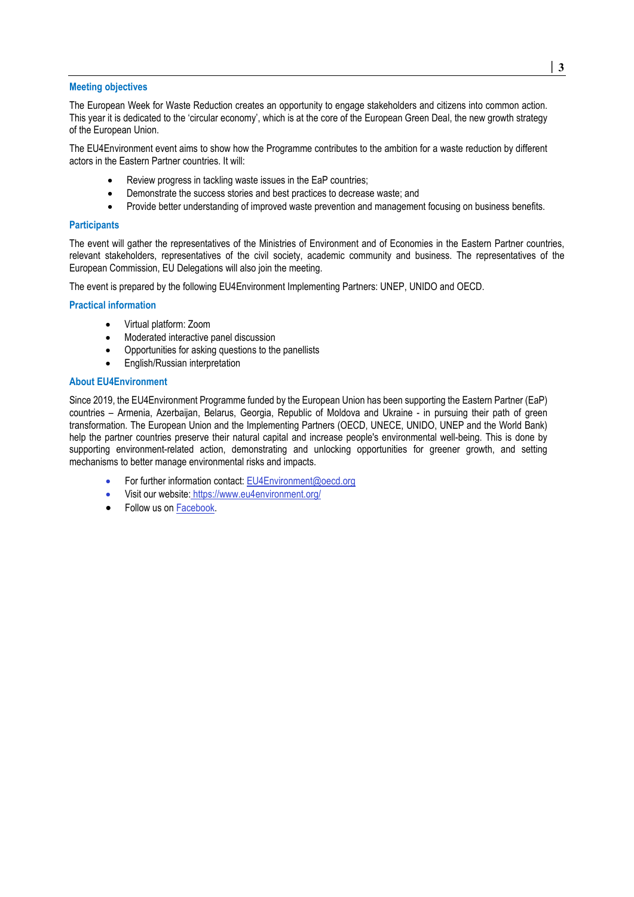#### **Meeting objectives**

The European Week for Waste Reduction creates an opportunity to engage stakeholders and citizens into common action. This year it is dedicated to the 'circular economy', which is at the core of the European Green Deal, the new growth strategy of the European Union.

The EU4Environment event aims to show how the Programme contributes to the ambition for a waste reduction by different actors in the Eastern Partner countries. It will:

- Review progress in tackling waste issues in the EaP countries;
- Demonstrate the success stories and best practices to decrease waste; and
- Provide better understanding of improved waste prevention and management focusing on business benefits.

# **Participants**

The event will gather the representatives of the Ministries of Environment and of Economies in the Eastern Partner countries, relevant stakeholders, representatives of the civil society, academic community and business. The representatives of the European Commission, EU Delegations will also join the meeting.

The event is prepared by the following EU4Environment Implementing Partners: UNEP, UNIDO and OECD.

# **Practical information**

- Virtual platform: Zoom
- Moderated interactive panel discussion
- Opportunities for asking questions to the panellists
- English/Russian interpretation

# **About EU4Environment**

Since 2019, the EU4Environment Programme funded by the European Union has been supporting the Eastern Partner (EaP) countries – Armenia, Azerbaijan, Belarus, Georgia, Republic of Moldova and Ukraine - in pursuing their path of green transformation. The European Union and the Implementing Partners (OECD, UNECE, UNIDO, UNEP and the World Bank) help the partner countries preserve their natural capital and increase people's environmental well-being. This is done by supporting environment-related action, demonstrating and unlocking opportunities for greener growth, and setting mechanisms to better manage environmental risks and impacts.

- For further information contact: [EU4Environment@oecd.org](mailto:EU4Environment@oecd.org)
- Visit our website: <https://www.eu4environment.org/>
- Follow us o[n Facebook.](https://www.facebook.com/EU4Environment-100539842031096)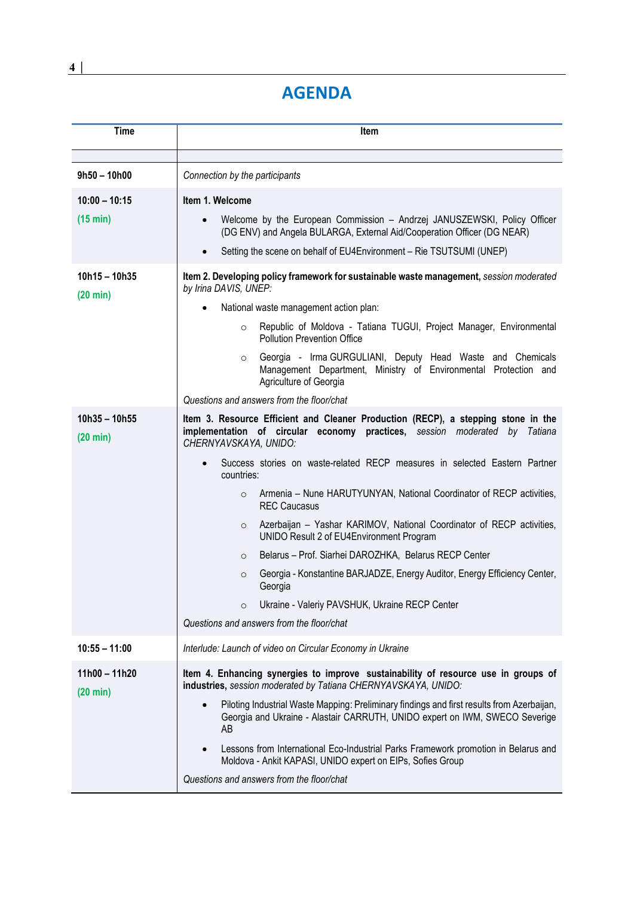# **AGENDA**

| <b>Time</b>                           | Item                                                                                                                                                                                         |
|---------------------------------------|----------------------------------------------------------------------------------------------------------------------------------------------------------------------------------------------|
|                                       |                                                                                                                                                                                              |
| $9h50 - 10h00$                        | Connection by the participants                                                                                                                                                               |
| $10:00 - 10:15$                       | Item 1. Welcome                                                                                                                                                                              |
| (15 min)                              | Welcome by the European Commission - Andrzej JANUSZEWSKI, Policy Officer<br>(DG ENV) and Angela BULARGA, External Aid/Cooperation Officer (DG NEAR)                                          |
|                                       | Setting the scene on behalf of EU4Environment - Rie TSUTSUMI (UNEP)<br>$\bullet$                                                                                                             |
| $10h15 - 10h35$<br>$(20 \text{ min})$ | Item 2. Developing policy framework for sustainable waste management, session moderated<br>by Irina DAVIS, UNEP:                                                                             |
|                                       | National waste management action plan:<br>$\bullet$                                                                                                                                          |
|                                       | Republic of Moldova - Tatiana TUGUI, Project Manager, Environmental<br>$\circ$<br><b>Pollution Prevention Office</b>                                                                         |
|                                       | Georgia - Irma GURGULIANI, Deputy Head Waste and Chemicals<br>$\circ$<br>Management Department, Ministry of Environmental Protection and<br>Agriculture of Georgia                           |
|                                       | Questions and answers from the floor/chat                                                                                                                                                    |
| $10h35 - 10h55$<br>$(20 \text{ min})$ | Item 3. Resource Efficient and Cleaner Production (RECP), a stepping stone in the<br>implementation of circular economy practices, session moderated by Tatiana<br>CHERNYAVSKAYA, UNIDO:     |
|                                       | Success stories on waste-related RECP measures in selected Eastern Partner<br>$\bullet$<br>countries:                                                                                        |
|                                       | Armenia – Nune HARUTYUNYAN, National Coordinator of RECP activities,<br>$\circ$<br><b>REC Caucasus</b>                                                                                       |
|                                       | Azerbaijan - Yashar KARIMOV, National Coordinator of RECP activities,<br>$\circ$<br>UNIDO Result 2 of EU4Environment Program                                                                 |
|                                       | Belarus - Prof. Siarhei DAROZHKA, Belarus RECP Center<br>$\circ$                                                                                                                             |
|                                       | Georgia - Konstantine BARJADZE, Energy Auditor, Energy Efficiency Center,<br>$\circ$<br>Georgia                                                                                              |
|                                       | Ukraine - Valeriy PAVSHUK, Ukraine RECP Center<br>$\circ$                                                                                                                                    |
|                                       | Questions and answers from the floor/chat                                                                                                                                                    |
| $10:55 - 11:00$                       | Interlude: Launch of video on Circular Economy in Ukraine                                                                                                                                    |
| $11h00 - 11h20$<br>$(20 \text{ min})$ | Item 4. Enhancing synergies to improve sustainability of resource use in groups of<br>industries, session moderated by Tatiana CHERNYAVSKAYA, UNIDO:                                         |
|                                       | Piloting Industrial Waste Mapping: Preliminary findings and first results from Azerbaijan,<br>$\bullet$<br>Georgia and Ukraine - Alastair CARRUTH, UNIDO expert on IWM, SWECO Severige<br>AB |
|                                       | Lessons from International Eco-Industrial Parks Framework promotion in Belarus and<br>Moldova - Ankit KAPASI, UNIDO expert on EIPs, Sofies Group                                             |
|                                       | Questions and answers from the floor/chat                                                                                                                                                    |